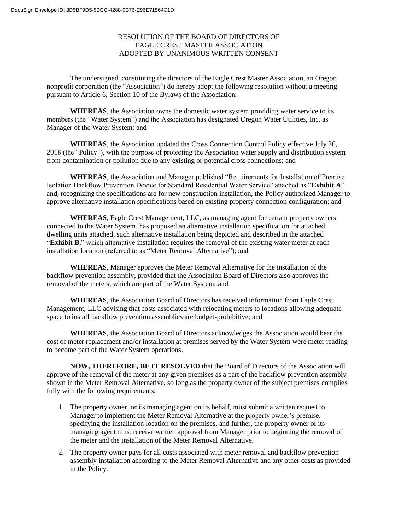## RESOLUTION OF THE BOARD OF DIRECTORS OF EAGLE CREST MASTER ASSOCIATION ADOPTED BY UNANIMOUS WRITTEN CONSENT

The undersigned, constituting the directors of the Eagle Crest Master Association, an Oregon nonprofit corporation (the "Association") do hereby adopt the following resolution without a meeting pursuant to Article 6, Section 10 of the Bylaws of the Association:

**WHEREAS**, the Association owns the domestic water system providing water service to its members (the "Water System") and the Association has designated Oregon Water Utilities, Inc. as Manager of the Water System; and

**WHEREAS**, the Association updated the Cross Connection Control Policy effective July 26, 2018 (the "Policy"), with the purpose of protecting the Association water supply and distribution system from contamination or pollution due to any existing or potential cross connections; and

**WHEREAS**, the Association and Manager published "Requirements for Installation of Premise Isolation Backflow Prevention Device for Standard Residential Water Service" attached as "**Exhibit A**" and, recognizing the specifications are for new construction installation, the Policy authorized Manager to approve alternative installation specifications based on existing property connection configuration; and

**WHEREAS**, Eagle Crest Management, LLC, as managing agent for certain property owners connected to the Water System, has proposed an alternative installation specification for attached dwelling units attached, such alternative installation being depicted and described in the attached "**Exhibit B**," which alternative installation requires the removal of the existing water meter at each installation location (referred to as "Meter Removal Alternative"); and

**WHEREAS**, Manager approves the Meter Removal Alternative for the installation of the backflow prevention assembly, provided that the Association Board of Directors also approves the removal of the meters, which are part of the Water System; and

**WHEREAS**, the Association Board of Directors has received information from Eagle Crest Management, LLC advising that costs associated with relocating meters to locations allowing adequate space to install backflow prevention assemblies are budget-prohibitive; and

**WHEREAS**, the Association Board of Directors acknowledges the Association would bear the cost of meter replacement and/or installation at premises served by the Water System were meter reading to become part of the Water System operations.

**NOW, THEREFORE, BE IT RESOLVED** that the Board of Directors of the Association will approve of the removal of the meter at any given premises as a part of the backflow prevention assembly shown in the Meter Removal Alternative, so long as the property owner of the subject premises complies fully with the following requirements:

- 1. The property owner, or its managing agent on its behalf, must submit a written request to Manager to implement the Meter Removal Alternative at the property owner's premise, specifying the installation location on the premises, and further, the property owner or its managing agent must receive written approval from Manager prior to beginning the removal of the meter and the installation of the Meter Removal Alternative.
- 2. The property owner pays for all costs associated with meter removal and backflow prevention assembly installation according to the Meter Removal Alternative and any other costs as provided in the Policy.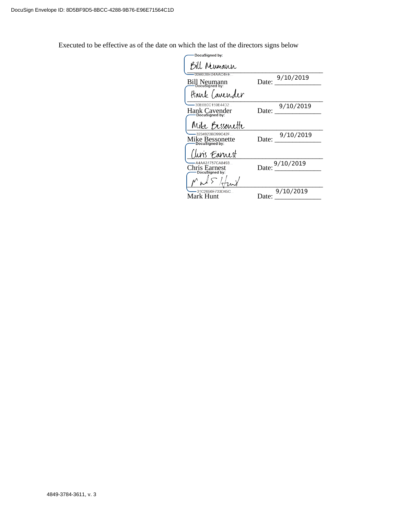Executed to be effective as of the date on which the last of the directors signs below

| -DocuSigned by:                                       |                    |
|-------------------------------------------------------|--------------------|
| Bill Neumann                                          |                    |
| 00B6D8ED4AAC4EE<br>Bill Neumann                       | 9/10/2019<br>Date: |
| Hank Cavender                                         |                    |
| -30F0B0C159F44D2<br>Hank Cavender<br>DocuSigned by:   | 9/10/2019<br>Date: |
| Mike Bessonette                                       |                    |
| -3234923BD99C42F<br>Mike Bessonette<br>DocuSigned by: | 9/10/2019<br>Date: |
| lun's Eannest                                         |                    |
| -A4AA31757CA8493<br>Chris Earnest<br>DocuSigned by:   | Date: 9/10/2019    |
|                                                       |                    |
| 31C2656E733D45C<br>Mark Hunt                          | 9/10/2019<br>Date: |
|                                                       |                    |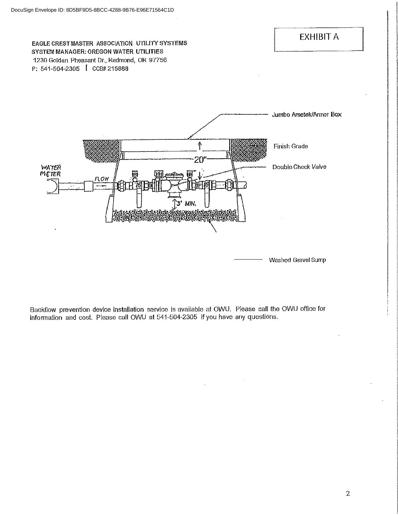

Washed Gravel Sump

Backflow prevention device installation service is available at OWU. Please call the OWU office for information and cost. Please call OWU at 541-504-2305 if you have any questions.